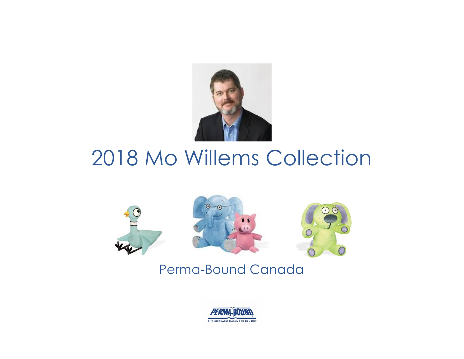

# 2018 Mo Willems Collection



## Perma-Bound Canada

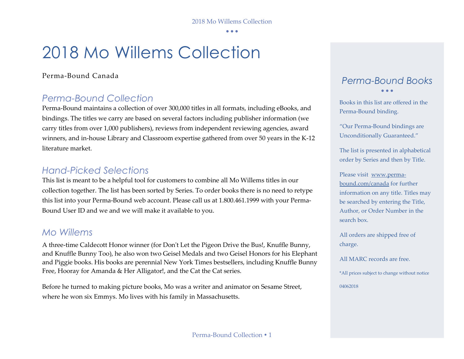• • •

## 2018 Mo Willems Collection

### Perma-Bound Canada

### *Perma-Bound Collection*

Perma-Bound maintains a collection of over 300,000 titles in all formats, including eBooks, and bindings. The titles we carry are based on several factors including publisher information (we carry titles from over 1,000 publishers), reviews from independent reviewing agencies, award winners, and in-house Library and Classroom expertise gathered from over 50 years in the K-12 literature market.

### *Hand-Picked Selections*

This list is meant to be a helpful tool for customers to combine all Mo Willems titles in our collection together. The list has been sorted by Series. To order books there is no need to retype this list into your Perma-Bound web account. Please call us at 1.800.461.1999 with your Perma-Bound User ID and we and we will make it available to you.

### *Mo Willems*

A three-time Caldecott Honor winner (for Don't Let the Pigeon Drive the Bus!, Knuffle Bunny, and Knuffle Bunny Too), he also won two Geisel Medals and two Geisel Honors for his Elephant and Piggie books. His books are perennial New York Times bestsellers, including Knuffle Bunny Free, Hooray for Amanda & Her Alligator!, and the Cat the Cat series.

Before he turned to making picture books, Mo was a writer and animator on Sesame Street, where he won six Emmys. Mo lives with his family in Massachusetts.

### *Perma-Bound Books* • • •

Books in this list are offered in the Perma-Bound binding.

"Our Perma-Bound bindings are Unconditionally Guaranteed."

The list is presented in alphabetical order by Series and then by Title.

Please visit [www.perma](http://www.perma-bound.com/)[bound.com/](http://www.perma-bound.com/)canada for further information on any title. Titles may be searched by entering the Title, Author, or Order Number in the search box.

All orders are shipped free of charge.

All MARC records are free.

\*All prices subject to change without notice 04062018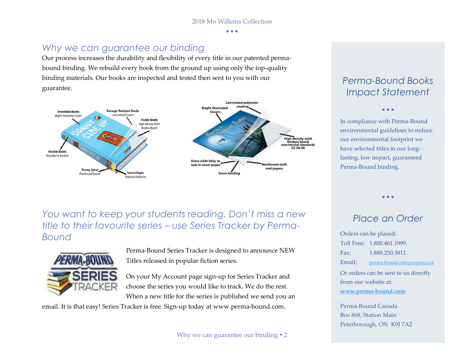• • •

### *Why we can guarantee our binding*

Our process increases the durability and flexibility of every title in our patented permabound binding. We rebuild every book from the ground up using only the top-quality binding materials. Our books are inspected and tested then sent to you with our guarantee.



### *Perma-Bound Books Impact Statement*

• • •

In compliance with Perma-Bound environmental guidelines to reduce our environmental footprint we have selected titles in our longlasting, low impact, guaranteed Perma-Bound binding.

*You want to keep your students reading. Don't miss a new title to their favourite series – use Series Tracker by Perma-Bound*



Perma-Bound Series Tracker is designed to announce NEW Titles released in popular fiction series.

On your My Account page sign-up for Series Tracker and choose the series you would like to track. We do the rest. When a new title for the series is published we send you an

email. It is that easy! Series Tracker is free. Sign-up today at www.perma-bound.com.

### *Place an Order Order*

• • •

Orders can be placed: Toll Free: 1.800.461.1999. Fax: 1.888.250.3811. Email: [perma-bound.ca@sympatico.ca](mailto:perma-bound.ca@sympatico.ca) Or orders can be sent to us directly from our website at: **[www.perma-bound.com](http://www.perma-bound.com/)**

Perma-Bound Canada Box 868, Station Main Peterborough, ON K9J 7A2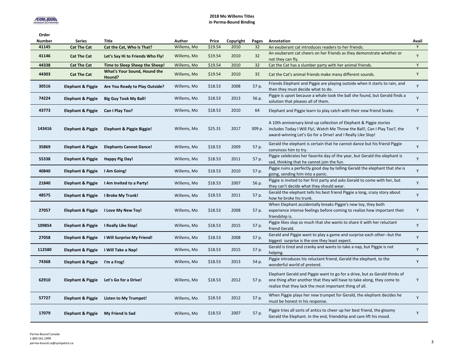#### **2018 Mo Willems Titles in Perma-Bound Binding**

| Order  |                              |                                        |             |         |           |        |                                                                                                                                                                                                                  |       |
|--------|------------------------------|----------------------------------------|-------------|---------|-----------|--------|------------------------------------------------------------------------------------------------------------------------------------------------------------------------------------------------------------------|-------|
| Number | <b>Series</b>                | Title                                  | Author      | Price   | Copyright | Pages  | Annotation                                                                                                                                                                                                       | Avail |
| 41145  | <b>Cat The Cat</b>           | Cat the Cat, Who Is That?              | Willems, Mo | \$19.54 | 2010      | 32     | An exuberant cat introduces readers to her friends.                                                                                                                                                              | Y     |
| 41146  | <b>Cat The Cat</b>           | Let's Say Hi to Friends Who Fly!       | Willems, Mo | \$19.54 | 2010      | 32     | An exuberant cat cheers on her friends as they demonstrate whether or<br>not they can fly.                                                                                                                       | Y     |
| 44338  | <b>Cat The Cat</b>           | Time to Sleep Sheep the Sheep!         | Willems, Mo | \$19.54 | 2010      | 32     | Cat the Cat has a slumber party with her animal friends.                                                                                                                                                         | Y     |
| 44303  | <b>Cat The Cat</b>           | What's Your Sound, Hound the<br>Hound? | Willems, Mo | \$19.54 | 2010      | 32     | Cat the Cat's animal friends make many different sounds.                                                                                                                                                         | Y     |
| 30516  | <b>Elephant &amp; Piggie</b> | Are You Ready to Play Outside?         | Willems, Mo | \$18.53 | 2008      | 57 p.  | Friends Elephant and Piggie are playing outside when it starts to rain, and<br>then they must decide what to do.                                                                                                 | Y     |
| 74224  | <b>Elephant &amp; Piggie</b> | <b>Big Guy Took My Ball!</b>           | Willems, Mo | \$18.53 | 2013      | 56 p.  | Piggie is upset because a whale took the ball she found, but Gerald finds a<br>solution that pleases all of them.                                                                                                | Y     |
| 43773  | <b>Elephant &amp; Piggie</b> | Can I Play Too?                        | Willems, Mo | \$18.53 | 2010      | 64     | Elephant and Piggie learn to play catch with their new friend Snake.                                                                                                                                             | Y     |
| 143416 | Elephant & Piggie            | Elephant & Piggie Biggie!              | Willems, Mo | \$25.31 | 2017      | 309 p. | A 10th anniversary bind-up collection of Elephant & Piggie stories<br>includes Today I Will Fly!, Watch Me Throw the Ball!, Can I Play Too?, the<br>award-winning Let's Go for a Drive! and I Really Like Slop!  | Y     |
| 35869  | <b>Elephant &amp; Piggie</b> | <b>Elephants Cannot Dance!</b>         | Willems, Mo | \$18.53 | 2009      | 57 p.  | Gerald the elephant is certain that he cannot dance but his friend Piggie<br>convinces him to try.                                                                                                               | Y     |
| 55338  | <b>Elephant &amp; Piggie</b> | <b>Happy Pig Day!</b>                  | Willems, Mo | \$18.53 | 2011      | 57 p.  | Piggie celebrates her favorite day of the year, but Gerald the elephant is<br>sad, thinking that he cannot join the fun.                                                                                         | Y     |
| 40840  | <b>Elephant &amp; Piggie</b> | I Am Going!                            | Willems, Mo | \$18.53 | 2010      | 57 p.  | Piggie ruins a perfectly good day by telling Gerald the elephant that she is<br>going, sending him into a panic.                                                                                                 | Y     |
| 21840  | <b>Elephant &amp; Piggie</b> | I Am Invited to a Party!               | Willems, Mo | \$18.53 | 2007      | 56 p.  | Piggie is invited to her first party and asks Gerald to come with her, but<br>they can't decide what they should wear.                                                                                           | Y     |
| 48575  | <b>Elephant &amp; Piggie</b> | I Broke My Trunk!                      | Willems, Mo | \$18.53 | 2011      | 57 p.  | Gerald the elephant tells his best friend Piggie a long, crazy story about<br>how he broke his trunk.                                                                                                            | Y     |
| 27057  | <b>Elephant &amp; Piggie</b> | I Love My New Toy!                     | Willems, Mo | \$18.53 | 2008      | 57 p.  | When Elephant accidentally breaks Piggie's new toy, they both<br>experience intense feelings before coming to realize how important their<br>friendship is.                                                      | Y     |
| 109854 | <b>Elephant &amp; Piggie</b> | I Really Like Slop!                    | Willems, Mo | \$18.53 | 2015      | 57 p.  | Piggie likes slop so much that she wants to share it with her reluctant<br>friend Gerald.                                                                                                                        | Y     |
| 27058  | <b>Elephant &amp; Piggie</b> | I Will Surprise My Friend!             | Willems, Mo | \$18.53 | 2008      | 57 p.  | Gerald and Piggie want to play a game and surprise each other--but the<br>biggest surprise is the one they least expect.                                                                                         | Y     |
| 112580 | <b>Elephant &amp; Piggie</b> | I Will Take a Nap!                     | Willems, Mo | \$18.53 | 2015      | 57 p.  | Gerald is tired and cranky and wants to take a nap, but Piggie is not<br>helping.                                                                                                                                | Y     |
| 74368  | <b>Elephant &amp; Piggie</b> | I'm a Frog!                            | Willems, Mo | \$18.53 | 2013      | 54 p.  | Piggie introduces his reluctant friend, Gerald the elephant, to the<br>wonderful world of pretend.                                                                                                               | Y     |
| 62910  | <b>Elephant &amp; Piggie</b> | Let's Go for a Drive!                  | Willems, Mo | \$18.53 | 2012      | 57 p.  | Elephant Gerald and Piggie want to go for a drive, but as Gerald thinks of<br>one thing after another that they will have to take along, they come to<br>realize that they lack the most important thing of all. | Y     |
| 57727  | Elephant & Piggie            | Listen to My Trumpet!                  | Willems, Mo | \$18.53 | 2012      | 57 p.  | When Piggie plays her new trumpet for Gerald, the elephant decides he<br>must be honest in his response.                                                                                                         | Y     |
| 17079  | <b>Elephant &amp; Piggie</b> | My Friend Is Sad                       | Willems, Mo | \$18.53 | 2007      | 57 p.  | Piggie tries all sorts of antics to cheer up her best friend, the gloomy<br>Gerald the Elephant. In the end, friendship and care lift his mood.                                                                  | Y     |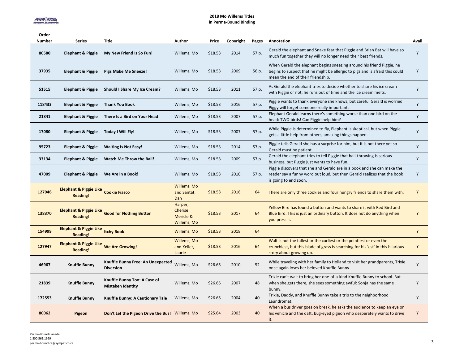#### **2018 Mo Willems Titles in Perma-Bound Binding**

| Order<br><b>Number</b> | <b>Series</b>                                        | Title                                                    | Author                                         | Price   | Copyright | Pages | Annotation                                                                                                                                                                                 | Avail |
|------------------------|------------------------------------------------------|----------------------------------------------------------|------------------------------------------------|---------|-----------|-------|--------------------------------------------------------------------------------------------------------------------------------------------------------------------------------------------|-------|
| 80580                  | Elephant & Piggie                                    | My New Friend Is So Fun!                                 | Willems, Mo                                    | \$18.53 | 2014      | 57 p. | Gerald the elephant and Snake fear that Piggie and Brian Bat will have so<br>much fun together they will no longer need their best friends.                                                | Y     |
| 37935                  | <b>Elephant &amp; Piggie</b>                         | <b>Pigs Make Me Sneeze!</b>                              | Willems, Mo                                    | \$18.53 | 2009      | 56 p. | When Gerald the elephant begins sneezing around his friend Piggie, he<br>begins to suspect that he might be allergic to pigs and is afraid this could<br>mean the end of their friendship. | Y     |
| 51515                  | <b>Elephant &amp; Piggie</b>                         | Should I Share My Ice Cream?                             | Willems, Mo                                    | \$18.53 | 2011      | 57 p. | As Gerald the elephant tries to decide whether to share his ice cream<br>with Piggie or not, he runs out of time and the ice cream melts.                                                  | Y     |
| 118433                 | <b>Elephant &amp; Piggie</b>                         | <b>Thank You Book</b>                                    | Willems, Mo                                    | \$18.53 | 2016      | 57 p. | Piggie wants to thank everyone she knows, but careful Gerald is worried<br>Piggy will forget someone really important.                                                                     | Y     |
| 21841                  | <b>Elephant &amp; Piggie</b>                         | There Is a Bird on Your Head!                            | Willems, Mo                                    | \$18.53 | 2007      | 57 p. | Elephant Gerald learns there's something worse than one bird on the<br>head: TWO birds! Can Piggie help him?                                                                               | Y     |
| 17080                  | <b>Elephant &amp; Piggie</b>                         | Today I Will Fly!                                        | Willems, Mo                                    | \$18.53 | 2007      | 57 p. | While Piggie is determined to fly, Elephant is skeptical, but when Piggie<br>gets a little help from others, amazing things happen.                                                        | Y     |
| 95723                  | <b>Elephant &amp; Piggie</b>                         | <b>Waiting Is Not Easy!</b>                              | Willems, Mo                                    | \$18.53 | 2014      | 57 p. | Piggie tells Gerald she has a surprise for him, but it is not there yet so<br>Gerald must be patient.                                                                                      | Y     |
| 33134                  | <b>Elephant &amp; Piggie</b>                         | Watch Me Throw the Ball!                                 | Willems, Mo                                    | \$18.53 | 2009      | 57 p. | Gerald the elephant tries to tell Piggie that ball-throwing is serious<br>business, but Piggie just wants to have fun.                                                                     | Y     |
| 47009                  | Elephant & Piggie                                    | We Are in a Book!                                        | Willems, Mo                                    | \$18.53 | 2010      | 57 p. | Piggie discovers that she and Gerald are in a book and she can make the<br>reader say a funny word out loud, but then Gerald realizes that the book<br>is going to end soon.               | Y     |
| 127946                 | <b>Elephant &amp; Piggie Like</b><br><b>Reading!</b> | <b>Cookie Fiasco</b>                                     | Willems, Mo<br>and Santat,<br>Dan              | \$18.53 | 2016      | 64    | There are only three cookies and four hungry friends to share them with.                                                                                                                   | Y     |
| 138370                 | <b>Elephant &amp; Piggie Like</b><br><b>Reading!</b> | <b>Good for Nothing Button</b>                           | Harper,<br>Cherise<br>Mericle &<br>Willems, Mo | \$18.53 | 2017      | 64    | Yellow Bird has found a button and wants to share it with Red Bird and<br>Blue Bird. This is just an ordinary button. It does not do anything when<br>you press it.                        | Y     |
| 154999                 | <b>Elephant &amp; Piggie Like</b><br><b>Reading!</b> | <b>Itchy Book!</b>                                       | Willems, Mo                                    | \$18.53 | 2018      | 64    |                                                                                                                                                                                            | Y     |
| 127947                 | <b>Elephant &amp; Piggie Like</b><br><b>Reading!</b> | <b>We Are Growing!</b>                                   | Willems, Mo<br>and Keller,<br>Laurie           | \$18.53 | 2016      | 64    | Walt is not the tallest or the curliest or the pointiest or even the<br>crunchiest, but this blade of grass is searching for his 'est' in this hilarious<br>story about growing up.        | Y     |
| 46967                  | <b>Knuffle Bunny</b>                                 | Knuffle Bunny Free: An Unexpected<br><b>Diversion</b>    | Willems, Mo                                    | \$26.65 | 2010      | 52    | While traveling with her family to Holland to visit her grandparents, Trixie<br>once again loses her beloved Knuffle Bunny.                                                                | Y     |
| 21839                  | Knuffle Bunny                                        | Knuffle Bunny Too: A Case of<br><b>Mistaken Identity</b> | Willems, Mo                                    | \$26.65 | 2007      | 48    | Trixie can't wait to bring her one-of-a-kind Knuffle Bunny to school. But<br>when she gets there, she sees something awful: Sonja has the same<br>bunny.                                   | Y     |
| 172553                 | <b>Knuffle Bunny</b>                                 | Knuffle Bunny: A Cautionary Tale                         | Willems, Mo                                    | \$26.65 | 2004      | 40    | Trixie, Daddy, and Knuffle Bunny take a trip to the neighborhood<br>Laundromat.                                                                                                            | Y     |
| 80062                  | Pigeon                                               | Don't Let the Pigeon Drive the Bus! Willems, Mo          |                                                | \$25.64 | 2003      | 40    | When a bus driver goes on break, he asks the audience to keep an eye on<br>his vehicle and the daft, bug-eyed pigeon who desperately wants to drive<br>it.                                 | Υ     |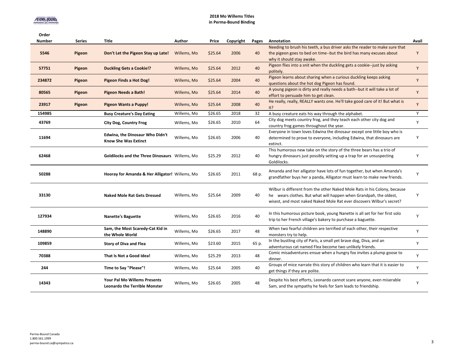#### **2018 Mo Willems Titles in Perma-Bound Binding**

| Order<br><b>Number</b> | <b>Series</b> | Title                                                                       | Author      | Price   | Copyright | Pages | Annotation                                                                                                                                                                                                              | Avail |
|------------------------|---------------|-----------------------------------------------------------------------------|-------------|---------|-----------|-------|-------------------------------------------------------------------------------------------------------------------------------------------------------------------------------------------------------------------------|-------|
| 5546                   | Pigeon        | Don't Let the Pigeon Stay up Late!                                          | Willems, Mo | \$25.64 | 2006      | 40    | Needing to brush his teeth, a bus driver asks the reader to make sure that<br>the pigeon goes to bed on time--but the bird has many excuses about<br>why it should stay awake.                                          | Y     |
| 57751                  | Pigeon        | <b>Duckling Gets a Cookie!?</b>                                             | Willems, Mo | \$25.64 | 2012      | 40    | Pigeon flies into a snit when the duckling gets a cookie--just by asking<br>politely.                                                                                                                                   | Y     |
| 234872                 | Pigeon        | Pigeon Finds a Hot Dog!                                                     | Willems, Mo | \$25.64 | 2004      | 40    | Pigeon learns about sharing when a curious duckling keeps asking<br>questions about the hot dog Pigeon has found.                                                                                                       | Y     |
| 80565                  | Pigeon        | Pigeon Needs a Bath!                                                        | Willems, Mo | \$25.64 | 2014      | 40    | A young pigeon is dirty and really needs a bath--but it will take a lot of<br>effort to persuade him to get clean.                                                                                                      | Y     |
| 23917                  | Pigeon        | <b>Pigeon Wants a Puppy!</b>                                                | Willems, Mo | \$25.64 | 2008      | 40    | He really, really, REALLY wants one. He'll take good care of it! But what is<br>it?                                                                                                                                     | Y     |
| 154985                 |               | <b>Busy Creature's Day Eating</b>                                           | Willems, Mo | \$26.65 | 2018      | 32    | A busy creature eats his way through the alphabet.                                                                                                                                                                      | Y     |
| 43769                  |               | <b>City Dog, Country Frog</b>                                               | Willems, Mo | \$26.65 | 2010      | 64    | City dog meets country frog, and they teach each other city dog and<br>country frog games throughout the year.                                                                                                          | Y     |
| 11694                  |               | <b>Edwina, the Dinosaur Who Didn't</b><br><b>Know She Was Extinct</b>       | Willems, Mo | \$26.65 | 2006      | 40    | Everyone in town loves Edwina the dinosaur except one little boy who is<br>determined to prove to everyone, including Edwina, that dinosaurs are<br>extinct.                                                            | Y     |
| 62468                  |               | <b>Goldilocks and the Three Dinosaurs</b> Willems, Mo                       |             | \$25.29 | 2012      | 40    | This humorous new take on the story of the three bears has a trio of<br>hungry dinosaurs just possibly setting up a trap for an unsuspecting<br>Goldilocks.                                                             | Y     |
| 50288                  |               | Hooray for Amanda & Her Alligator! Willems, Mo                              |             | \$26.65 | 2011      | 68 p. | Amanda and her alligator have lots of fun together, but when Amanda's<br>grandfather buys her a panda, Alligator must learn to make new friends.                                                                        | Y     |
| 33130                  |               | <b>Naked Mole Rat Gets Dressed</b>                                          | Willems, Mo | \$25.64 | 2009      | 40    | Wilbur is different from the other Naked Mole Rats in his Colony, because<br>he wears clothes. But what will happen when Grandpah, the oldest,<br>wisest, and most naked Naked Mole Rat ever discovers Wilbur's secret? | Y     |
| 127934                 |               | <b>Nanette's Baguette</b>                                                   | Willems, Mo | \$26.65 | 2016      | 40    | In this humorous picture book, young Nanette is all set for her first solo<br>trip to her French village's bakery to purchase a baguette.                                                                               | Y     |
| 148890                 |               | Sam, the Most Scaredy-Cat Kid in<br>the Whole World                         | Willems, Mo | \$26.65 | 2017      | 48    | When two fearful children are terrified of each other, their respective<br>monsters try to help.                                                                                                                        | Y     |
| 109859                 |               | <b>Story of Diva and Flea</b>                                               | Willems, Mo | \$23.60 | 2015      | 65 p. | In the bustling city of Paris, a small yet brave dog, Diva, and an<br>adventurous cat named Flea become two unlikely friends.                                                                                           | Y     |
| 70388                  |               | That Is Not a Good Idea!                                                    | Willems, Mo | \$25.29 | 2013      | 48    | Comic misadventures ensue when a hungry fox invites a plump goose to<br>dinner.                                                                                                                                         | Y     |
| 244                    |               | Time to Say "Please"!                                                       | Willems, Mo | \$25.64 | 2005      | 40    | Groups of mice narrate this story of children who learn that it is easier to<br>get things if they are polite.                                                                                                          | Y     |
| 14343                  |               | <b>Your Pal Mo Willems Presents</b><br><b>Leonardo the Terrible Monster</b> | Willems, Mo | \$26.65 | 2005      | 48    | Despite his best efforts, Leonardo cannot scare anyone, even miserable<br>Sam, and the sympathy he feels for Sam leads to friendship.                                                                                   | Y     |